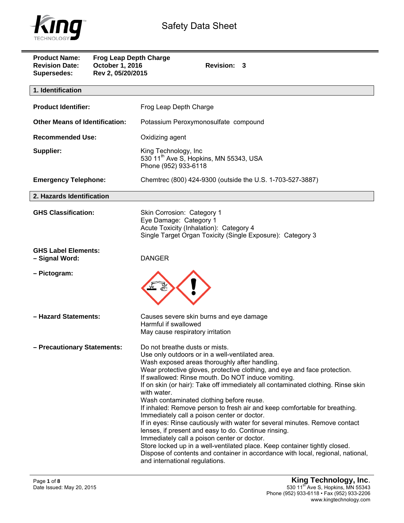

| <b>Product Name:</b><br><b>Revision Date:</b><br><b>Supersedes:</b> | <b>Frog Leap Depth Charge</b><br>October 1, 2016<br>Rev 2, 05/20/2015 | Revision: 3                                                                                                                                                                                                                                                                                                                                                                                                                                                                                                                                                                                                                                                                                                                                                                                                                                                                                                                                |
|---------------------------------------------------------------------|-----------------------------------------------------------------------|--------------------------------------------------------------------------------------------------------------------------------------------------------------------------------------------------------------------------------------------------------------------------------------------------------------------------------------------------------------------------------------------------------------------------------------------------------------------------------------------------------------------------------------------------------------------------------------------------------------------------------------------------------------------------------------------------------------------------------------------------------------------------------------------------------------------------------------------------------------------------------------------------------------------------------------------|
| 1. Identification                                                   |                                                                       |                                                                                                                                                                                                                                                                                                                                                                                                                                                                                                                                                                                                                                                                                                                                                                                                                                                                                                                                            |
| <b>Product Identifier:</b>                                          |                                                                       | Frog Leap Depth Charge                                                                                                                                                                                                                                                                                                                                                                                                                                                                                                                                                                                                                                                                                                                                                                                                                                                                                                                     |
| <b>Other Means of Identification:</b>                               |                                                                       | Potassium Peroxymonosulfate compound                                                                                                                                                                                                                                                                                                                                                                                                                                                                                                                                                                                                                                                                                                                                                                                                                                                                                                       |
| <b>Recommended Use:</b>                                             |                                                                       | Oxidizing agent                                                                                                                                                                                                                                                                                                                                                                                                                                                                                                                                                                                                                                                                                                                                                                                                                                                                                                                            |
| Supplier:                                                           |                                                                       | King Technology, Inc<br>530 11 <sup>th</sup> Ave S, Hopkins, MN 55343, USA<br>Phone (952) 933-6118                                                                                                                                                                                                                                                                                                                                                                                                                                                                                                                                                                                                                                                                                                                                                                                                                                         |
| <b>Emergency Telephone:</b>                                         |                                                                       | Chemirec (800) 424-9300 (outside the U.S. 1-703-527-3887)                                                                                                                                                                                                                                                                                                                                                                                                                                                                                                                                                                                                                                                                                                                                                                                                                                                                                  |
| 2. Hazards Identification                                           |                                                                       |                                                                                                                                                                                                                                                                                                                                                                                                                                                                                                                                                                                                                                                                                                                                                                                                                                                                                                                                            |
| <b>GHS Classification:</b>                                          |                                                                       | Skin Corrosion: Category 1<br>Eye Damage: Category 1<br>Acute Toxicity (Inhalation): Category 4<br>Single Target Organ Toxicity (Single Exposure): Category 3                                                                                                                                                                                                                                                                                                                                                                                                                                                                                                                                                                                                                                                                                                                                                                              |
| <b>GHS Label Elements:</b><br>- Signal Word:                        |                                                                       | <b>DANGER</b>                                                                                                                                                                                                                                                                                                                                                                                                                                                                                                                                                                                                                                                                                                                                                                                                                                                                                                                              |
| - Pictogram:                                                        |                                                                       |                                                                                                                                                                                                                                                                                                                                                                                                                                                                                                                                                                                                                                                                                                                                                                                                                                                                                                                                            |
| - Hazard Statements:                                                |                                                                       | Causes severe skin burns and eye damage<br>Harmful if swallowed<br>May cause respiratory irritation                                                                                                                                                                                                                                                                                                                                                                                                                                                                                                                                                                                                                                                                                                                                                                                                                                        |
| - Precautionary Statements:                                         |                                                                       | Do not breathe dusts or mists.<br>Use only outdoors or in a well-ventilated area.<br>Wash exposed areas thoroughly after handling.<br>Wear protective gloves, protective clothing, and eye and face protection.<br>If swallowed: Rinse mouth. Do NOT induce vomiting.<br>If on skin (or hair): Take off immediately all contaminated clothing. Rinse skin<br>with water.<br>Wash contaminated clothing before reuse.<br>If inhaled: Remove person to fresh air and keep comfortable for breathing.<br>Immediately call a poison center or doctor.<br>If in eyes: Rinse cautiously with water for several minutes. Remove contact<br>lenses, if present and easy to do. Continue rinsing.<br>Immediately call a poison center or doctor.<br>Store locked up in a well-ventilated place. Keep container tightly closed.<br>Dispose of contents and container in accordance with local, regional, national,<br>and international regulations. |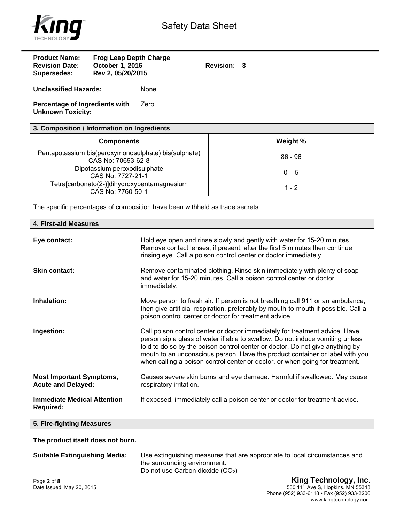

| <b>Product Name:</b><br><b>Revision Date:</b><br>Supersedes: | <b>Frog Leap Depth Charge</b><br><b>October 1, 2016</b><br>Rev 2, 05/20/2015 |      | <b>Revision:</b> | - 3 |
|--------------------------------------------------------------|------------------------------------------------------------------------------|------|------------------|-----|
| <b>Unclassified Hazards:</b>                                 |                                                                              | None |                  |     |
| Percentage of Ingredients with                               |                                                                              | Zero |                  |     |

**Unknown Toxicity:** 

| 3. Composition / Information on Ingredients                                |          |  |
|----------------------------------------------------------------------------|----------|--|
| <b>Components</b>                                                          | Weight % |  |
| Pentapotassium bis(peroxymonosulphate) bis(sulphate)<br>CAS No: 70693-62-8 | 86 - 96  |  |
| Dipotassium peroxodisulphate<br>CAS No: 7727-21-1                          | $0 - 5$  |  |
| Tetra[carbonato(2-)]dihydroxypentamagnesium<br>CAS No: 7760-50-1           | $1 - 2$  |  |

The specific percentages of composition have been withheld as trade secrets.

| 4. First-aid Measures                                        |                                                                                                                                                                                                                                                                                                                                                                                                               |
|--------------------------------------------------------------|---------------------------------------------------------------------------------------------------------------------------------------------------------------------------------------------------------------------------------------------------------------------------------------------------------------------------------------------------------------------------------------------------------------|
| Eye contact:                                                 | Hold eye open and rinse slowly and gently with water for 15-20 minutes.<br>Remove contact lenses, if present, after the first 5 minutes then continue<br>rinsing eye. Call a poison control center or doctor immediately.                                                                                                                                                                                     |
| <b>Skin contact:</b>                                         | Remove contaminated clothing. Rinse skin immediately with plenty of soap<br>and water for 15-20 minutes. Call a poison control center or doctor<br>immediately.                                                                                                                                                                                                                                               |
| Inhalation:                                                  | Move person to fresh air. If person is not breathing call 911 or an ambulance,<br>then give artificial respiration, preferably by mouth-to-mouth if possible. Call a<br>poison control center or doctor for treatment advice.                                                                                                                                                                                 |
| Ingestion:                                                   | Call poison control center or doctor immediately for treatment advice. Have<br>person sip a glass of water if able to swallow. Do not induce vomiting unless<br>told to do so by the poison control center or doctor. Do not give anything by<br>mouth to an unconscious person. Have the product container or label with you<br>when calling a poison control center or doctor, or when going for treatment. |
| <b>Most Important Symptoms,</b><br><b>Acute and Delayed:</b> | Causes severe skin burns and eye damage. Harmful if swallowed. May cause<br>respiratory irritation.                                                                                                                                                                                                                                                                                                           |
| <b>Immediate Medical Attention</b><br><b>Required:</b>       | If exposed, immediately call a poison center or doctor for treatment advice.                                                                                                                                                                                                                                                                                                                                  |
| 5. Fire-fighting Measures                                    |                                                                                                                                                                                                                                                                                                                                                                                                               |
| The product itself does not burn.                            |                                                                                                                                                                                                                                                                                                                                                                                                               |

| <b>Suitable Extinguishing Media:</b> | Use extinguishing measures that are appropriate to local circumstances and<br>the surrounding environment.<br>Do not use Carbon dioxide $(CO2)$ |
|--------------------------------------|-------------------------------------------------------------------------------------------------------------------------------------------------|
|                                      |                                                                                                                                                 |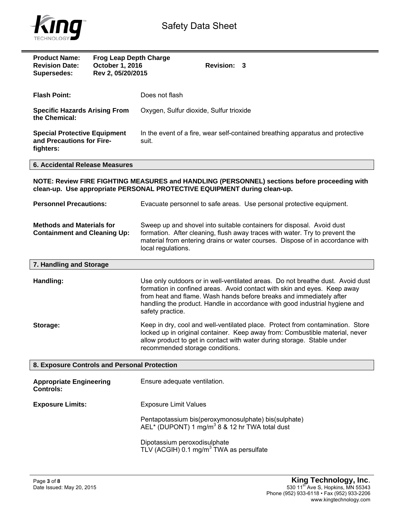

| <b>Product Name:</b><br><b>Revision Date:</b><br><b>Supersedes:</b>           | <b>Frog Leap Depth Charge</b><br>October 1, 2016<br>Rev 2, 05/20/2015 | <b>Revision: 3</b>                                                                                                                                                                                                                                                                                                                   |
|-------------------------------------------------------------------------------|-----------------------------------------------------------------------|--------------------------------------------------------------------------------------------------------------------------------------------------------------------------------------------------------------------------------------------------------------------------------------------------------------------------------------|
| <b>Flash Point:</b>                                                           |                                                                       | Does not flash                                                                                                                                                                                                                                                                                                                       |
| <b>Specific Hazards Arising From</b><br>the Chemical:                         |                                                                       | Oxygen, Sulfur dioxide, Sulfur trioxide                                                                                                                                                                                                                                                                                              |
| <b>Special Protective Equipment</b><br>and Precautions for Fire-<br>fighters: |                                                                       | In the event of a fire, wear self-contained breathing apparatus and protective<br>suit.                                                                                                                                                                                                                                              |
| <b>6. Accidental Release Measures</b>                                         |                                                                       |                                                                                                                                                                                                                                                                                                                                      |
|                                                                               |                                                                       | NOTE: Review FIRE FIGHTING MEASURES and HANDLING (PERSONNEL) sections before proceeding with<br>clean-up. Use appropriate PERSONAL PROTECTIVE EQUIPMENT during clean-up.                                                                                                                                                             |
| <b>Personnel Precautions:</b>                                                 |                                                                       | Evacuate personnel to safe areas. Use personal protective equipment.                                                                                                                                                                                                                                                                 |
| <b>Methods and Materials for</b><br><b>Containment and Cleaning Up:</b>       |                                                                       | Sweep up and shovel into suitable containers for disposal. Avoid dust<br>formation. After cleaning, flush away traces with water. Try to prevent the<br>material from entering drains or water courses. Dispose of in accordance with<br>local regulations.                                                                          |
| 7. Handling and Storage                                                       |                                                                       |                                                                                                                                                                                                                                                                                                                                      |
| Handling:                                                                     |                                                                       | Use only outdoors or in well-ventilated areas. Do not breathe dust. Avoid dust<br>formation in confined areas. Avoid contact with skin and eyes. Keep away<br>from heat and flame. Wash hands before breaks and immediately after<br>handling the product. Handle in accordance with good industrial hygiene and<br>safety practice. |
| Storage:                                                                      |                                                                       | Keep in dry, cool and well-ventilated place. Protect from contamination. Store<br>locked up in original container. Keep away from: Combustible material, never<br>allow product to get in contact with water during storage. Stable under<br>recommended storage conditions.                                                         |
| 8. Exposure Controls and Personal Protection                                  |                                                                       |                                                                                                                                                                                                                                                                                                                                      |
| <b>Appropriate Engineering</b><br><b>Controls:</b>                            |                                                                       | Ensure adequate ventilation.                                                                                                                                                                                                                                                                                                         |
| <b>Exposure Limits:</b>                                                       |                                                                       | <b>Exposure Limit Values</b>                                                                                                                                                                                                                                                                                                         |
|                                                                               |                                                                       | Pentapotassium bis(peroxymonosulphate) bis(sulphate)<br>AEL* (DUPONT) 1 $mg/m^3$ 8 & 12 hr TWA total dust                                                                                                                                                                                                                            |
|                                                                               |                                                                       | Dipotassium peroxodisulphate<br>TLV (ACGIH) 0.1 mg/m <sup>3</sup> TWA as persulfate                                                                                                                                                                                                                                                  |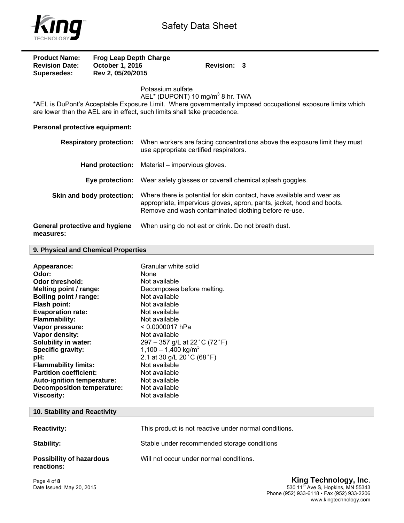

| <b>Product Name:</b>  | <b>Frog Leap Depth Charge</b> |             |  |
|-----------------------|-------------------------------|-------------|--|
| <b>Revision Date:</b> | October 1, 2016               | Revision: 3 |  |
| Supersedes:           | Rev 2, 05/20/2015             |             |  |

Potassium sulfate

 $AEL^*$  (DUPONT) 10 mg/m $^3$  8 hr. TWA

\*AEL is DuPont's Acceptable Exposure Limit. Where governmentally imposed occupational exposure limits which are lower than the AEL are in effect, such limits shall take precedence.

## **Personal protective equipment:**

| <b>Respiratory protection:</b>              | When workers are facing concentrations above the exposure limit they must<br>use appropriate certified respirators.                                                                                    |
|---------------------------------------------|--------------------------------------------------------------------------------------------------------------------------------------------------------------------------------------------------------|
| Hand protection:                            | Material – impervious gloves.                                                                                                                                                                          |
| Eve protection:                             | Wear safety glasses or coverall chemical splash goggles.                                                                                                                                               |
| Skin and body protection:                   | Where there is potential for skin contact, have available and wear as<br>appropriate, impervious gloves, apron, pants, jacket, hood and boots.<br>Remove and wash contaminated clothing before re-use. |
| General protective and hygiene<br>measures: | When using do not eat or drink. Do not breath dust.                                                                                                                                                    |

**9. Physical and Chemical Properties** 

| Appearance:<br>Odor:              | Granular white solid<br><b>None</b>         |
|-----------------------------------|---------------------------------------------|
| Odor threshold:                   | Not available                               |
| Melting point / range:            | Decomposes before melting.<br>Not available |
| Boiling point / range:            |                                             |
| <b>Flash point:</b>               | Not available                               |
| <b>Evaporation rate:</b>          | Not available                               |
| <b>Flammability:</b>              | Not available                               |
| Vapor pressure:                   | < 0.0000017 hPa                             |
| Vapor density:                    | Not available                               |
| Solubility in water:              | 297 – 357 g/L at 22 °C (72 °F)              |
| Specific gravity:                 | 1,100 - 1,400 kg/m <sup>3</sup>             |
| pH:                               | 2.1 at 30 g/L 20 °C (68 °F)                 |
| <b>Flammability limits:</b>       | Not available                               |
| <b>Partition coefficient:</b>     | Not available                               |
| Auto-ignition temperature:        | Not available                               |
| <b>Decomposition temperature:</b> | Not available                               |
| <b>Viscosity:</b>                 | Not available                               |

## **10. Stability and Reactivity Reactivity: This product is not reactive under normal conditions. Stability:** Stable under recommended storage conditions **Possibility of hazardous reactions:**  Will not occur under normal conditions.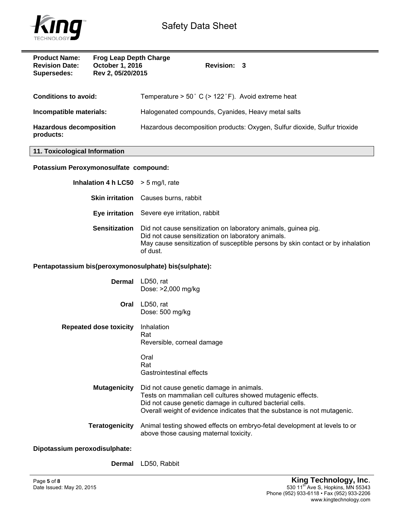

**TECHNO** 

| <b>Product Name:</b><br><b>Frog Leap Depth Charge</b><br><b>Revision Date:</b><br>October 1, 2016<br>Rev 2, 05/20/2015<br><b>Supersedes:</b> | Revision: 3                                                                                                                                                                                                                                      |
|----------------------------------------------------------------------------------------------------------------------------------------------|--------------------------------------------------------------------------------------------------------------------------------------------------------------------------------------------------------------------------------------------------|
| <b>Conditions to avoid:</b>                                                                                                                  | Temperature > 50° C (> 122°F). Avoid extreme heat                                                                                                                                                                                                |
| Incompatible materials:                                                                                                                      | Halogenated compounds, Cyanides, Heavy metal salts                                                                                                                                                                                               |
| <b>Hazardous decomposition</b><br>products:                                                                                                  | Hazardous decomposition products: Oxygen, Sulfur dioxide, Sulfur trioxide                                                                                                                                                                        |
| 11. Toxicological Information                                                                                                                |                                                                                                                                                                                                                                                  |
| Potassium Peroxymonosulfate compound:                                                                                                        |                                                                                                                                                                                                                                                  |
| Inhalation 4 h LC50                                                                                                                          | $> 5$ mg/l, rate                                                                                                                                                                                                                                 |
| <b>Skin irritation</b>                                                                                                                       | Causes burns, rabbit                                                                                                                                                                                                                             |
|                                                                                                                                              | Eye irritation Severe eye irritation, rabbit                                                                                                                                                                                                     |
| <b>Sensitization</b>                                                                                                                         | Did not cause sensitization on laboratory animals, guinea pig.<br>Did not cause sensitization on laboratory animals.<br>May cause sensitization of susceptible persons by skin contact or by inhalation<br>of dust.                              |
| Pentapotassium bis(peroxymonosulphate) bis(sulphate):                                                                                        |                                                                                                                                                                                                                                                  |
| <b>Dermal</b>                                                                                                                                | LD50, rat<br>Dose: >2,000 mg/kg                                                                                                                                                                                                                  |
| Oral                                                                                                                                         | LD50, rat<br>Dose: 500 mg/kg                                                                                                                                                                                                                     |
| <b>Repeated dose toxicity</b>                                                                                                                | Inhalation<br>Rat<br>Reversible, corneal damage                                                                                                                                                                                                  |
|                                                                                                                                              | Oral<br>Rat<br>Gastrointestinal effects                                                                                                                                                                                                          |
| <b>Mutagenicity</b>                                                                                                                          | Did not cause genetic damage in animals.<br>Tests on mammalian cell cultures showed mutagenic effects.<br>Did not cause genetic damage in cultured bacterial cells.<br>Overall weight of evidence indicates that the substance is not mutagenic. |
| <b>Teratogenicity</b>                                                                                                                        | Animal testing showed effects on embryo-fetal development at levels to or<br>above those causing maternal toxicity.                                                                                                                              |
| Dipotassium peroxodisulphate:                                                                                                                |                                                                                                                                                                                                                                                  |
| <b>Dermal</b>                                                                                                                                | LD50, Rabbit                                                                                                                                                                                                                                     |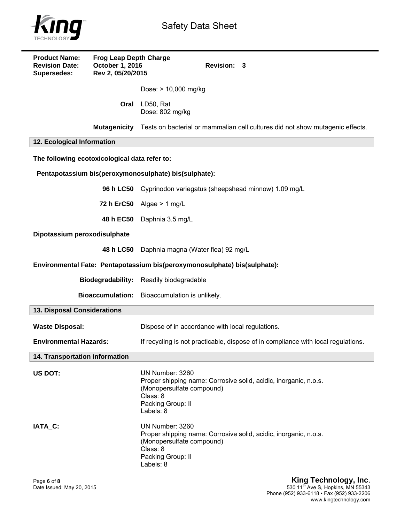

| <b>Product Name:</b><br><b>Revision Date:</b><br><b>Supersedes:</b> | <b>Frog Leap Depth Charge</b><br>October 1, 2016<br>Rev 2, 05/20/2015 | Revision: 3                                                                                                                                                    |
|---------------------------------------------------------------------|-----------------------------------------------------------------------|----------------------------------------------------------------------------------------------------------------------------------------------------------------|
|                                                                     |                                                                       | Dose: > 10,000 mg/kg                                                                                                                                           |
|                                                                     | Oral                                                                  | LD50, Rat<br>Dose: 802 mg/kg                                                                                                                                   |
|                                                                     | <b>Mutagenicity</b>                                                   | Tests on bacterial or mammalian cell cultures did not show mutagenic effects.                                                                                  |
| 12. Ecological Information                                          |                                                                       |                                                                                                                                                                |
| The following ecotoxicological data refer to:                       |                                                                       |                                                                                                                                                                |
|                                                                     |                                                                       | Pentapotassium bis(peroxymonosulphate) bis(sulphate):                                                                                                          |
|                                                                     |                                                                       | 96 h LC50 Cyprinodon variegatus (sheepshead minnow) 1.09 mg/L                                                                                                  |
|                                                                     |                                                                       | 72 h ErC50 Algae $> 1$ mg/L                                                                                                                                    |
|                                                                     | 48 h EC50                                                             | Daphnia 3.5 mg/L                                                                                                                                               |
| Dipotassium peroxodisulphate                                        |                                                                       |                                                                                                                                                                |
|                                                                     | 48 h LC50                                                             | Daphnia magna (Water flea) 92 mg/L                                                                                                                             |
|                                                                     |                                                                       | Environmental Fate: Pentapotassium bis(peroxymonosulphate) bis(sulphate):                                                                                      |
|                                                                     | <b>Biodegradability:</b>                                              | Readily biodegradable                                                                                                                                          |
|                                                                     | <b>Bioaccumulation:</b>                                               | Bioaccumulation is unlikely.                                                                                                                                   |
| 13. Disposal Considerations                                         |                                                                       |                                                                                                                                                                |
| <b>Waste Disposal:</b>                                              |                                                                       | Dispose of in accordance with local regulations.                                                                                                               |
| <b>Environmental Hazards:</b>                                       |                                                                       | If recycling is not practicable, dispose of in compliance with local regulations.                                                                              |
| 14. Transportation information                                      |                                                                       |                                                                                                                                                                |
| US DOT:                                                             |                                                                       | UN Number: 3260<br>Proper shipping name: Corrosive solid, acidic, inorganic, n.o.s.<br>(Monopersulfate compound)<br>Class: 8<br>Packing Group: II<br>Labels: 8 |
| IATA C:                                                             |                                                                       | UN Number: 3260<br>Proper shipping name: Corrosive solid, acidic, inorganic, n.o.s.<br>(Monopersulfate compound)<br>Class: 8<br>Packing Group: II<br>Labels: 8 |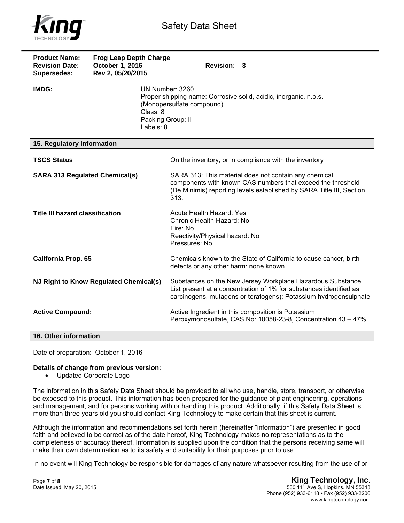

| <b>Product Name:</b><br><b>Revision Date:</b><br>Supersedes: | <b>Frog Leap Depth Charge</b><br>October 1, 2016<br>Rev 2, 05/20/2015 | Revision: 3                                                                                                                                                                                          |
|--------------------------------------------------------------|-----------------------------------------------------------------------|------------------------------------------------------------------------------------------------------------------------------------------------------------------------------------------------------|
| IMDG:                                                        |                                                                       | UN Number: 3260<br>Proper shipping name: Corrosive solid, acidic, inorganic, n.o.s.<br>(Monopersulfate compound)<br>Class: 8<br>Packing Group: II<br>Labels: 8                                       |
| 15. Regulatory information                                   |                                                                       |                                                                                                                                                                                                      |
| <b>TSCS Status</b>                                           |                                                                       | On the inventory, or in compliance with the inventory                                                                                                                                                |
| <b>SARA 313 Regulated Chemical(s)</b>                        |                                                                       | SARA 313: This material does not contain any chemical<br>components with known CAS numbers that exceed the threshold<br>(De Minimis) reporting levels established by SARA Title III, Section<br>313. |
| <b>Title III hazard classification</b>                       |                                                                       | Acute Health Hazard: Yes<br>Chronic Health Hazard: No<br>Fire: No<br>Reactivity/Physical hazard: No<br>Pressures: No                                                                                 |
| <b>California Prop. 65</b>                                   |                                                                       | Chemicals known to the State of California to cause cancer, birth<br>defects or any other harm: none known                                                                                           |
| NJ Right to Know Regulated Chemical(s)                       |                                                                       | Substances on the New Jersey Workplace Hazardous Substance<br>List present at a concentration of 1% for substances identified as<br>carcinogens, mutagens or teratogens): Potassium hydrogensulphate |
| <b>Active Compound:</b>                                      |                                                                       | Active Ingredient in this composition is Potassium<br>Peroxymonosulfate, CAS No: 10058-23-8, Concentration 43 - 47%                                                                                  |
| 16. Other information                                        |                                                                       |                                                                                                                                                                                                      |

Date of preparation: October 1, 2016

## **Details of change from previous version:**

Updated Corporate Logo

The information in this Safety Data Sheet should be provided to all who use, handle, store, transport, or otherwise be exposed to this product. This information has been prepared for the guidance of plant engineering, operations and management, and for persons working with or handling this product. Additionally, if this Safety Data Sheet is more than three years old you should contact King Technology to make certain that this sheet is current.

Although the information and recommendations set forth herein (hereinafter "information") are presented in good faith and believed to be correct as of the date hereof, King Technology makes no representations as to the completeness or accuracy thereof. Information is supplied upon the condition that the persons receiving same will make their own determination as to its safety and suitability for their purposes prior to use.

In no event will King Technology be responsible for damages of any nature whatsoever resulting from the use of or